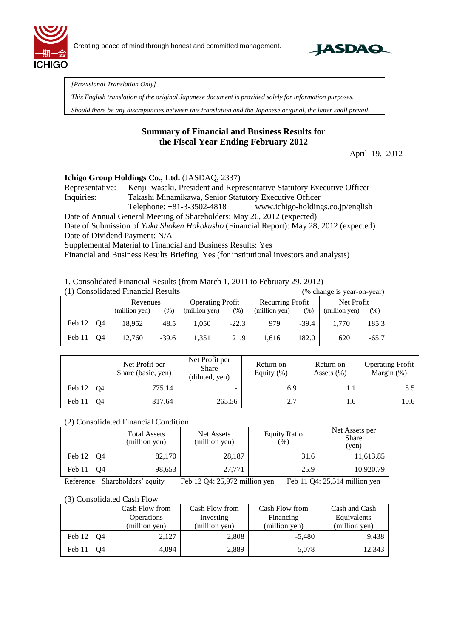



*[Provisional Translation Only]* 

*This English translation of the original Japanese document is provided solely for information purposes.*

*Should there be any discrepancies between this translation and the Japanese original, the latter shall prevail.*

# **Summary of Financial and Business Results for the Fiscal Year Ending February 2012**

April 19, 2012

### **Ichigo Group Holdings Co., Ltd.** (JASDAQ, 2337)

Representative: Kenji Iwasaki, President and Representative Statutory Executive Officer Inquiries: Takashi Minamikawa, Senior Statutory Executive Officer Telephone: +81-3-3502-4818 www.ichigo-holdings.co.jp/english Date of Annual General Meeting of Shareholders: May 26, 2012 (expected) Date of Submission of *Yuka Shoken Hokokusho* (Financial Report): May 28, 2012 (expected) Date of Dividend Payment: N/A

Supplemental Material to Financial and Business Results: Yes

Financial and Business Results Briefing: Yes (for institutional investors and analysts)

1. Consolidated Financial Results (from March 1, 2011 to February 29, 2012)

| (1) Consolidated Financial Results<br>(% change is year-on-year) |          |               |                         |               |                  |               |            |               |         |
|------------------------------------------------------------------|----------|---------------|-------------------------|---------------|------------------|---------------|------------|---------------|---------|
|                                                                  | Revenues |               | <b>Operating Profit</b> |               | Recurring Profit |               | Net Profit |               |         |
|                                                                  |          | (million yen) | $(\%)$                  | (million yen) | (%)              | (million yen) | (%)        | (million yen) | (% )    |
| Feb 12 Q4                                                        |          | 18.952        | 48.5                    | 1.050         | $-22.3$          | 979           | $-39.4$    | 1.770         | 185.3   |
| Feb 11                                                           | O4       | 12.760        | $-39.6$                 | 1.351         | 21.9             | 1,616         | 182.0      | 620           | $-65.7$ |

|                      | Net Profit per<br>Share (basic, yen) | Net Profit per<br>Share<br>(diluted, yen) | Return on<br>Equity $(\%)$ | Return on<br>Assets $(\% )$ | <b>Operating Profit</b><br>Margin $(\%)$ |
|----------------------|--------------------------------------|-------------------------------------------|----------------------------|-----------------------------|------------------------------------------|
| Feb 12<br><b>O</b> 4 | 775.14                               | $\overline{\phantom{a}}$                  | 6.9                        | 1.1                         |                                          |
| Feb 11<br><b>O4</b>  | 317.64                               | 265.56                                    | 2.7                        | 1.6                         | 10.6                                     |

### (2) Consolidated Financial Condition

|              | <b>Total Assets</b><br>(million yen) | Net Assets<br>(million yen) | <b>Equity Ratio</b><br>(96) | Net Assets per<br><b>Share</b><br>(yen) |  |
|--------------|--------------------------------------|-----------------------------|-----------------------------|-----------------------------------------|--|
| Feb 12<br>O4 | 82,170                               | 28,187                      | 31.6                        | 11,613.85                               |  |
| Feb 11<br>O4 | 98,653                               | 27.771                      | 25.9                        | 10,920.79                               |  |

Reference: Shareholders' equity Feb 12 Q4: 25,972 million yen Feb 11 Q4: 25,514 million yen

#### (3) Consolidated Cash Flow

|              | Cash Flow from<br><b>Operations</b><br>(million yen) | Cash Flow from<br>Investing<br>(million yen) | Cash Flow from<br>Financing<br>(million yen) | Cash and Cash<br>Equivalents<br>(million yen) |
|--------------|------------------------------------------------------|----------------------------------------------|----------------------------------------------|-----------------------------------------------|
| Feb 12 Q4    | 2,127                                                | 2,808                                        | $-5.480$                                     | 9.438                                         |
| Feb 11<br>O4 | 4,094                                                | 2,889                                        | $-5,078$                                     | 12,343                                        |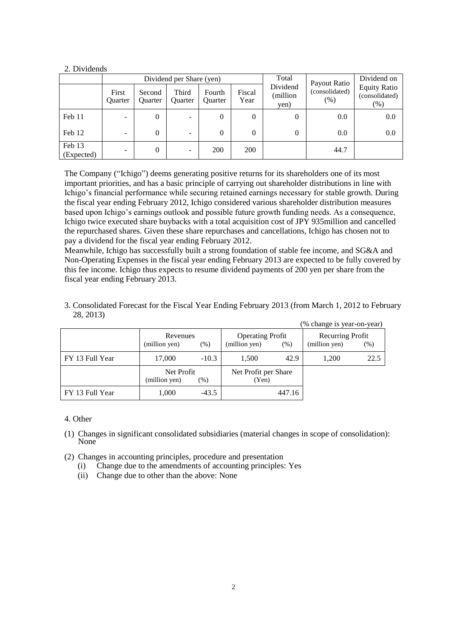### 2. Dividends

|                      |                          |                          | Dividend per Share (yen) |                   | Total          | Payout Ratio                 | Dividend on            |                                                 |
|----------------------|--------------------------|--------------------------|--------------------------|-------------------|----------------|------------------------------|------------------------|-------------------------------------------------|
|                      | First<br>Quarter         | Second<br><b>Ouarter</b> | Third<br>Quarter         | Fourth<br>Quarter | Fiscal<br>Year | Dividend<br>million)<br>yen) | (consolidated)<br>(% ) | <b>Equity Ratio</b><br>(consolidated)<br>$(\%)$ |
| Feb 11               | -                        | $\Omega$                 | $\overline{\phantom{a}}$ | $\theta$          | $\theta$       | 0                            | 0.0                    | 0.0                                             |
| Feb 12               | $\overline{\phantom{0}}$ | $\Omega$                 | ۰                        | $\theta$          | 0              | 0                            | 0.0                    | 0.0                                             |
| Feb 13<br>(Expected) | $\overline{\phantom{a}}$ | $\Omega$                 | $\overline{\phantom{a}}$ | 200               | 200            |                              | 44.7                   |                                                 |

The Company ("Ichigo") deems generating positive returns for its shareholders one of its most important priorities, and has a basic principle of carrying out shareholder distributions in line with Ichigo's financial performance while securing retained earnings necessary for stable growth. During the fiscal year ending February 2012, Ichigo considered various shareholder distribution measures based upon Ichigo's earnings outlook and possible future growth funding needs. As a consequence, Ichigo twice executed share buybacks with a total acquisition cost of JPY 935million and cancelled the repurchased shares. Given these share repurchases and cancellations, Ichigo has chosen not to pay a dividend for the fiscal year ending February 2012.

Meanwhile, Ichigo has successfully built a strong foundation of stable fee income, and SG&A and Non-Operating Expenses in the fiscal year ending February 2013 are expected to be fully covered by this fee income. Ichigo thus expects to resume dividend payments of 200 yen per share from the fiscal year ending February 2013.

3. Consolidated Forecast for the Fiscal Year Ending February 2013 (from March 1, 2012 to February 28, 2013)

|                 |                                      |         |                                                  |        | (% change is year-on-year)        |      |
|-----------------|--------------------------------------|---------|--------------------------------------------------|--------|-----------------------------------|------|
|                 | Revenues<br>$(\% )$<br>(million yen) |         | <b>Operating Profit</b><br>(million yen)<br>(% ) |        | Recurring Profit<br>(million yen) | (%)  |
| FY 13 Full Year | 17,000                               | $-10.3$ | 1.500                                            | 42.9   | 1,200                             | 22.5 |
|                 | Net Profit<br>(million yen)<br>(% )  |         | Net Profit per Share<br>(Yen)                    |        |                                   |      |
| FY 13 Full Year | 1,000                                | $-43.5$ |                                                  | 447.16 |                                   |      |

### 4. Other

- (1) Changes in significant consolidated subsidiaries (material changes in scope of consolidation): N<sub>one</sub>
- (2) Changes in accounting principles, procedure and presentation
	- (i) Change due to the amendments of accounting principles: Yes
	- (ii) Change due to other than the above: None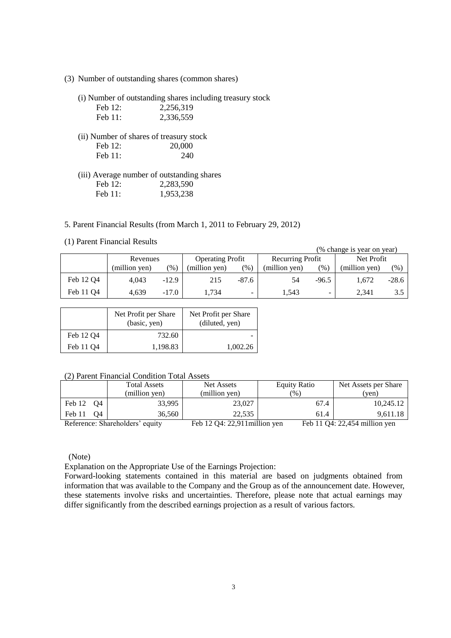(3) Number of outstanding shares (common shares)

(i) Number of outstanding shares including treasury stock

| Feb 12:             | 2,256,319                                  |
|---------------------|--------------------------------------------|
| Feb $11$ :          | 2,336,559                                  |
|                     | (ii) Number of shares of treasury stock    |
| Feb $12$ :          | 20,000                                     |
| Feb $11$ :          | 240                                        |
|                     | (iii) Average number of outstanding shares |
| $\Gamma$ 1 1 $\cap$ | 2.202.50                                   |

## Feb 12: 2,283,590 Feb 11: 1,953,238

5. Parent Financial Results (from March 1, 2011 to February 29, 2012)

(1) Parent Financial Results

| (1) I archt I mancial Results<br>(% change is year on year) |               |         |                         |         |                  |                |               |         |
|-------------------------------------------------------------|---------------|---------|-------------------------|---------|------------------|----------------|---------------|---------|
|                                                             | Revenues      |         | <b>Operating Profit</b> |         | Recurring Profit |                | Net Profit    |         |
|                                                             | (million yen) | $(\% )$ | (million yen)           | (%)     | (million yen)    | (%)            | (million yen) | (% )    |
| Feb 12 Q4                                                   | 4.043         | $-12.9$ | 215                     | $-87.6$ | 54               | $-96.5$        | 1,672         | $-28.6$ |
| Feb 11 Q4                                                   | 4.639         | $-17.0$ | 1.734                   | ۰.      | 1.543            | $\blacksquare$ | 2.341         | 3.5     |

|                       | Net Profit per Share<br>(basic, yen) | Net Profit per Share<br>(diluted, yen) |  |
|-----------------------|--------------------------------------|----------------------------------------|--|
| Feb 12 O <sub>4</sub> | 732.60                               |                                        |  |
| Feb 11 Q4             | 1.198.83                             | 1.002.26                               |  |

### (2) Parent Financial Condition Total Assets

|                                 | <b>Total Assets</b> | Net Assets                    | <b>Equity Ratio</b> | Net Assets per Share          |
|---------------------------------|---------------------|-------------------------------|---------------------|-------------------------------|
|                                 | (million yen)       | (million yen)                 | $\frac{9}{6}$ )     | (yen)                         |
| Feb 12<br>O4                    | 33.995              | 23,027                        | 67.4                | 10.245.12                     |
| Feb 11<br>O4                    | 36,560              | 22.535                        | 61.4                | 9,611.18                      |
| Reference: Shareholders' equity |                     | Feb 12 Q4: 22,911 million yen |                     | Feb 11 Q4: 22,454 million yen |

(Note)

Explanation on the Appropriate Use of the Earnings Projection:

Forward-looking statements contained in this material are based on judgments obtained from information that was available to the Company and the Group as of the announcement date. However, these statements involve risks and uncertainties. Therefore, please note that actual earnings may differ significantly from the described earnings projection as a result of various factors.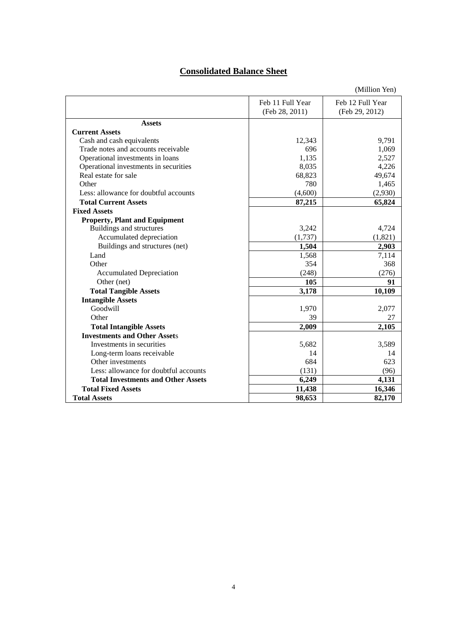# **Consolidated Balance Sheet**

|                                           |                  | (Million Yen)    |
|-------------------------------------------|------------------|------------------|
|                                           | Feb 11 Full Year | Feb 12 Full Year |
|                                           | (Feb 28, 2011)   | (Feb 29, 2012)   |
| <b>Assets</b>                             |                  |                  |
| <b>Current Assets</b>                     |                  |                  |
| Cash and cash equivalents                 | 12,343           | 9,791            |
| Trade notes and accounts receivable       | 696              | 1,069            |
| Operational investments in loans          | 1,135            | 2,527            |
| Operational investments in securities     | 8,035            | 4,226            |
| Real estate for sale                      | 68,823           | 49,674           |
| Other                                     | 780              | 1,465            |
| Less: allowance for doubtful accounts     | (4,600)          | (2,930)          |
| <b>Total Current Assets</b>               | 87,215           | 65,824           |
| <b>Fixed Assets</b>                       |                  |                  |
| <b>Property, Plant and Equipment</b>      |                  |                  |
| Buildings and structures                  | 3,242            | 4,724            |
| Accumulated depreciation                  | (1,737)          | (1,821)          |
| Buildings and structures (net)            | 1,504            | 2,903            |
| Land                                      | 1,568            | 7,114            |
| Other                                     | 354              | 368              |
| <b>Accumulated Depreciation</b>           | (248)            | (276)            |
| Other (net)                               | 105              | 91               |
| <b>Total Tangible Assets</b>              | 3,178            | 10,109           |
| <b>Intangible Assets</b>                  |                  |                  |
| Goodwill                                  | 1,970            | 2,077            |
| Other                                     | 39               | 27               |
| <b>Total Intangible Assets</b>            | 2,009            | 2,105            |
| <b>Investments and Other Assets</b>       |                  |                  |
| Investments in securities                 | 5,682            | 3,589            |
| Long-term loans receivable                | 14               | 14               |
| Other investments                         | 684              | 623              |
| Less: allowance for doubtful accounts     | (131)            | (96)             |
| <b>Total Investments and Other Assets</b> | 6,249            | 4,131            |
| <b>Total Fixed Assets</b>                 | 11,438           | 16,346           |
| <b>Total Assets</b>                       | 98,653           | 82,170           |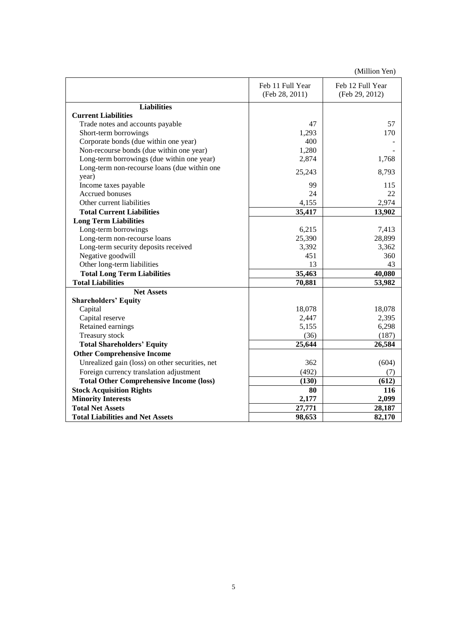(Million Yen)

|                                                       | Feb 11 Full Year<br>(Feb 28, 2011) | Feb 12 Full Year<br>(Feb 29, 2012) |
|-------------------------------------------------------|------------------------------------|------------------------------------|
| <b>Liabilities</b>                                    |                                    |                                    |
| <b>Current Liabilities</b>                            |                                    |                                    |
| Trade notes and accounts payable                      | 47                                 | 57                                 |
| Short-term borrowings                                 | 1,293                              | 170                                |
| Corporate bonds (due within one year)                 | 400                                |                                    |
| Non-recourse bonds (due within one year)              | 1,280                              |                                    |
| Long-term borrowings (due within one year)            | 2,874                              | 1,768                              |
| Long-term non-recourse loans (due within one<br>year) | 25,243                             | 8,793                              |
| Income taxes payable                                  | 99                                 | 115                                |
| Accrued bonuses                                       | 24                                 | 22                                 |
| Other current liabilities                             | 4,155                              | 2,974                              |
| <b>Total Current Liabilities</b>                      | 35,417                             | 13,902                             |
| <b>Long Term Liabilities</b>                          |                                    |                                    |
| Long-term borrowings                                  | 6,215                              | 7,413                              |
| Long-term non-recourse loans                          | 25,390                             | 28,899                             |
| Long-term security deposits received                  | 3,392                              | 3,362                              |
| Negative goodwill                                     | 451                                | 360                                |
| Other long-term liabilities                           | 13                                 | 43                                 |
| <b>Total Long Term Liabilities</b>                    | 35,463                             | 40,080                             |
| <b>Total Liabilities</b>                              | 70,881                             | 53,982                             |
| <b>Net Assets</b>                                     |                                    |                                    |
| <b>Shareholders' Equity</b>                           |                                    |                                    |
| Capital                                               | 18,078                             | 18,078                             |
| Capital reserve                                       | 2,447                              | 2,395                              |
| Retained earnings                                     | 5,155                              | 6,298                              |
| Treasury stock                                        | (36)                               | (187)                              |
| <b>Total Shareholders' Equity</b>                     | 25,644                             | 26,584                             |
| <b>Other Comprehensive Income</b>                     |                                    |                                    |
| Unrealized gain (loss) on other securities, net       | 362                                | (604)                              |
| Foreign currency translation adjustment               | (492)                              | (7)                                |
| <b>Total Other Comprehensive Income (loss)</b>        | (130)                              | (612)                              |
| <b>Stock Acquisition Rights</b>                       | 80                                 | 116                                |
| <b>Minority Interests</b>                             | 2,177                              | 2,099                              |
| <b>Total Net Assets</b>                               | 27,771                             | 28,187                             |
| <b>Total Liabilities and Net Assets</b>               | 98,653                             | 82,170                             |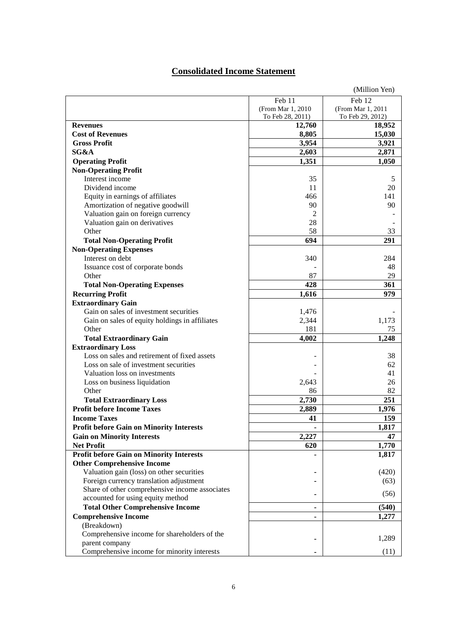# **Consolidated Income Statement**

|                                                 |                    | (Million Yen)     |
|-------------------------------------------------|--------------------|-------------------|
|                                                 | Feb 11             | Feb 12            |
|                                                 | (From Mar 1, 2010) | (From Mar 1, 2011 |
|                                                 | To Feb 28, 2011)   | To Feb 29, 2012)  |
| <b>Revenues</b>                                 | 12,760             | 18,952            |
| <b>Cost of Revenues</b>                         | 8,805              | 15,030            |
| <b>Gross Profit</b>                             | 3,954              | 3,921             |
| SG&A                                            | 2,603              | 2,871             |
| <b>Operating Profit</b>                         | 1,351              | 1,050             |
| <b>Non-Operating Profit</b>                     |                    |                   |
| Interest income                                 | 35                 | 5                 |
| Dividend income                                 | 11                 | 20                |
| Equity in earnings of affiliates                | 466                | 141               |
| Amortization of negative goodwill               | 90                 | 90                |
| Valuation gain on foreign currency              | 2                  |                   |
| Valuation gain on derivatives                   | 28                 |                   |
| Other                                           | 58                 | 33                |
| <b>Total Non-Operating Profit</b>               | 694                | 291               |
| <b>Non-Operating Expenses</b>                   |                    |                   |
| Interest on debt                                | 340                | 284               |
| Issuance cost of corporate bonds                |                    | 48                |
| Other                                           | 87                 | 29                |
|                                                 | 428                | 361               |
| <b>Total Non-Operating Expenses</b>             |                    |                   |
| <b>Recurring Profit</b>                         | 1,616              | 979               |
| <b>Extraordinary Gain</b>                       |                    |                   |
| Gain on sales of investment securities          | 1,476              |                   |
| Gain on sales of equity holdings in affiliates  | 2,344              | 1,173             |
| Other                                           | 181                | 75                |
| <b>Total Extraordinary Gain</b>                 | 4,002              | 1,248             |
| <b>Extraordinary Loss</b>                       |                    |                   |
| Loss on sales and retirement of fixed assets    |                    | 38                |
| Loss on sale of investment securities           |                    | 62                |
| Valuation loss on investments                   |                    | 41                |
| Loss on business liquidation                    | 2,643              | 26                |
| Other                                           | 86                 | 82                |
| <b>Total Extraordinary Loss</b>                 | 2,730              | 251               |
| <b>Profit before Income Taxes</b>               | 2,889              | 1,976             |
| <b>Income Taxes</b>                             | 41                 | 159               |
| <b>Profit before Gain on Minority Interests</b> | ۰                  | 1,817             |
| <b>Gain on Minority Interests</b>               | 2,227              | 47                |
| <b>Net Profit</b>                               | 620                | 1,770             |
| <b>Profit before Gain on Minority Interests</b> |                    | 1,817             |
| <b>Other Comprehensive Income</b>               |                    |                   |
| Valuation gain (loss) on other securities       |                    | (420)             |
| Foreign currency translation adjustment         |                    | (63)              |
| Share of other comprehensive income associates  |                    | (56)              |
| accounted for using equity method               |                    |                   |
| <b>Total Other Comprehensive Income</b>         | ٠                  | (540)             |
| <b>Comprehensive Income</b>                     |                    | 1,277             |
| (Breakdown)                                     |                    |                   |
| Comprehensive income for shareholders of the    |                    |                   |
| parent company                                  |                    | 1,289             |
| Comprehensive income for minority interests     |                    | (11)              |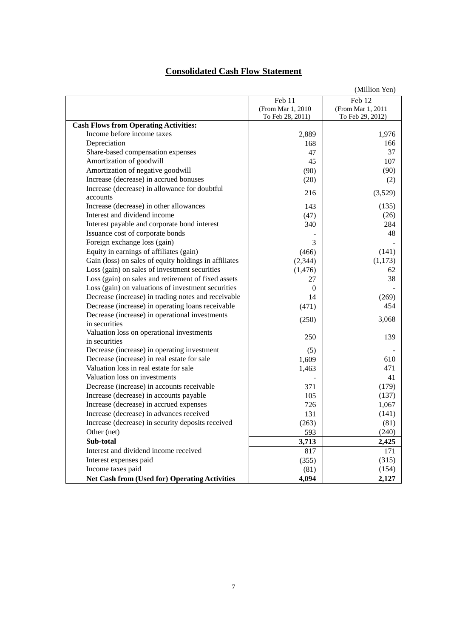# **Consolidated Cash Flow Statement**

|                                                       | (Million Yen)      |                   |
|-------------------------------------------------------|--------------------|-------------------|
|                                                       | Feb 11             | Feb 12            |
|                                                       | (From Mar 1, 2010) | (From Mar 1, 2011 |
|                                                       | To Feb 28, 2011)   | To Feb 29, 2012)  |
| <b>Cash Flows from Operating Activities:</b>          |                    |                   |
| Income before income taxes                            | 2,889              | 1,976             |
| Depreciation                                          | 168                | 166               |
| Share-based compensation expenses                     | 47                 | 37                |
| Amortization of goodwill                              | 45                 | 107               |
| Amortization of negative goodwill                     | (90)               | (90)              |
| Increase (decrease) in accrued bonuses                | (20)               | (2)               |
| Increase (decrease) in allowance for doubtful         | 216                | (3,529)           |
| accounts                                              |                    |                   |
| Increase (decrease) in other allowances               | 143                | (135)             |
| Interest and dividend income                          | (47)               | (26)              |
| Interest payable and corporate bond interest          | 340                | 284               |
| Issuance cost of corporate bonds                      |                    | 48                |
| Foreign exchange loss (gain)                          | 3                  |                   |
| Equity in earnings of affiliates (gain)               | (466)              | (141)             |
| Gain (loss) on sales of equity holdings in affiliates | (2, 344)           | (1,173)           |
| Loss (gain) on sales of investment securities         | (1,476)            | 62                |
| Loss (gain) on sales and retirement of fixed assets   | 27                 | 38                |
| Loss (gain) on valuations of investment securities    | $\Omega$           |                   |
| Decrease (increase) in trading notes and receivable   | 14                 | (269)             |
| Decrease (increase) in operating loans receivable     | (471)              | 454               |
| Decrease (increase) in operational investments        |                    |                   |
| in securities                                         | (250)              | 3,068             |
| Valuation loss on operational investments             |                    |                   |
| in securities                                         | 250                | 139               |
| Decrease (increase) in operating investment           | (5)                |                   |
| Decrease (increase) in real estate for sale           | 1,609              | 610               |
| Valuation loss in real estate for sale                | 1,463              | 471               |
| Valuation loss on investments                         |                    | 41                |
| Decrease (increase) in accounts receivable            | 371                | (179)             |
| Increase (decrease) in accounts payable               | 105                | (137)             |
| Increase (decrease) in accrued expenses               | 726                | 1,067             |
| Increase (decrease) in advances received              | 131                | (141)             |
| Increase (decrease) in security deposits received     | (263)              | (81)              |
| Other (net)                                           | 593                | (240)             |
| Sub-total                                             | 3,713              | 2,425             |
| Interest and dividend income received                 | 817                | 171               |
| Interest expenses paid                                | (355)              | (315)             |
| Income taxes paid                                     | (81)               | (154)             |
| <b>Net Cash from (Used for) Operating Activities</b>  | 4,094              | 2,127             |